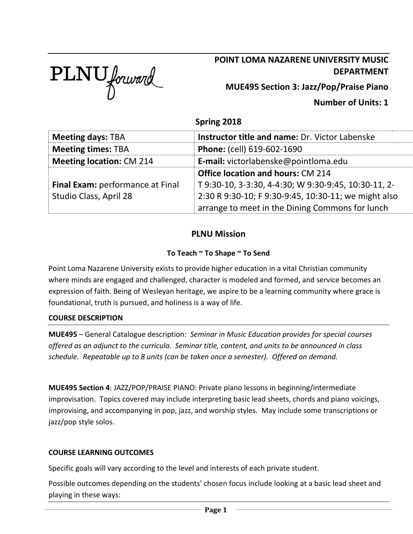

# **POINT LOMA NAZARENE UNIVERSITY MUSIC DEPARTMENT**

**MUE495 Section 3: Jazz/Pop/Praise Piano**

**Number of Units: 1**

# **Spring 2018**

| <b>Meeting days: TBA</b>         | <b>Instructor title and name: Dr. Victor Labenske</b> |  |
|----------------------------------|-------------------------------------------------------|--|
| <b>Meeting times: TBA</b>        | Phone: (cell) 619-602-1690                            |  |
| <b>Meeting location: CM 214</b>  | E-mail: victorlabenske@pointloma.edu                  |  |
|                                  | <b>Office location and hours: CM 214</b>              |  |
| Final Exam: performance at Final | T 9:30-10, 3-3:30, 4-4:30; W 9:30-9:45, 10:30-11, 2-  |  |
| Studio Class, April 28           | 2:30 R 9:30-10; F 9:30-9:45, 10:30-11; we might also  |  |
|                                  | arrange to meet in the Dining Commons for lunch       |  |

## **PLNU Mission**

### **To Teach ~ To Shape ~ To Send**

Point Loma Nazarene University exists to provide higher education in a vital Christian community where minds are engaged and challenged, character is modeled and formed, and service becomes an expression of faith. Being of Wesleyan heritage, we aspire to be a learning community where grace is foundational, truth is pursued, and holiness is a way of life.

### **COURSE DESCRIPTION**

**MUE495** – General Catalogue description: *Seminar in Music Education provides for special courses offered as an adjunct to the curricula. Seminar title, content, and units to be announced in class schedule. Repeatable up to 8 units (can be taken once a semester). Offered on demand.*

**MUE495 Section 4**: JAZZ/POP/PRAISE PIANO: Private piano lessons in beginning/intermediate improvisation. Topics covered may include interpreting basic lead sheets, chords and piano voicings, improvising, and accompanying in pop, jazz, and worship styles. May include some transcriptions or jazz/pop style solos.

### **COURSE LEARNING OUTCOMES**

Specific goals will vary according to the level and interests of each private student.

Possible outcomes depending on the students' chosen focus include looking at a basic lead sheet and playing in these ways: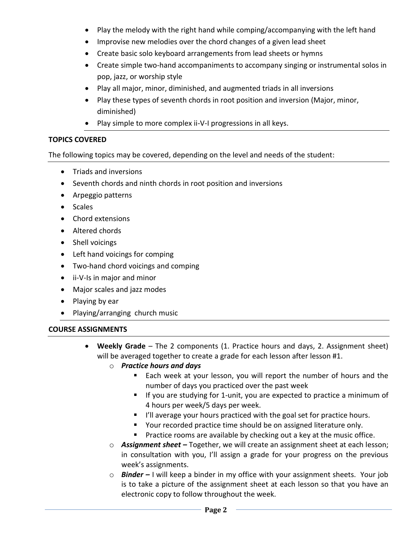- Play the melody with the right hand while comping/accompanying with the left hand
- Improvise new melodies over the chord changes of a given lead sheet
- Create basic solo keyboard arrangements from lead sheets or hymns
- Create simple two-hand accompaniments to accompany singing or instrumental solos in pop, jazz, or worship style
- Play all major, minor, diminished, and augmented triads in all inversions
- Play these types of seventh chords in root position and inversion (Major, minor, diminished)
- Play simple to more complex ii-V-I progressions in all keys.

## **TOPICS COVERED**

The following topics may be covered, depending on the level and needs of the student:

- Triads and inversions
- Seventh chords and ninth chords in root position and inversions
- Arpeggio patterns
- Scales
- Chord extensions
- Altered chords
- Shell voicings
- Left hand voicings for comping
- Two-hand chord voicings and comping
- ii-V-Is in major and minor
- Major scales and jazz modes
- Playing by ear
- Playing/arranging church music

### **COURSE ASSIGNMENTS**

- **Weekly Grade** The 2 components (1. Practice hours and days, 2. Assignment sheet) will be averaged together to create a grade for each lesson after lesson #1.
	- o *Practice hours and days* 
		- Each week at your lesson, you will report the number of hours and the number of days you practiced over the past week
		- If you are studying for 1-unit, you are expected to practice a minimum of 4 hours per week/5 days per week.
		- I'll average your hours practiced with the goal set for practice hours.
		- Your recorded practice time should be on assigned literature only.
		- Practice rooms are available by checking out a key at the music office.
	- o *Assignment sheet –* Together, we will create an assignment sheet at each lesson; in consultation with you, I'll assign a grade for your progress on the previous week's assignments.
	- o *Binder –* I will keep a binder in my office with your assignment sheets. Your job is to take a picture of the assignment sheet at each lesson so that you have an electronic copy to follow throughout the week.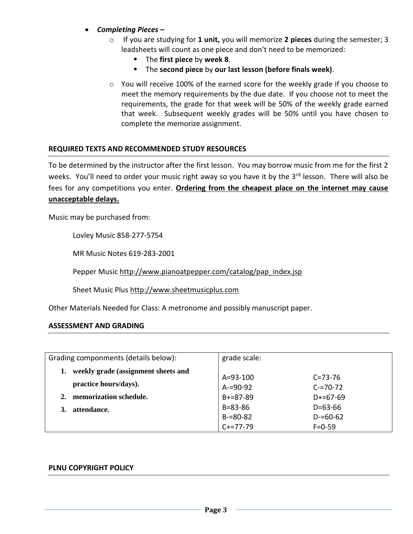- *Completing Pieces –*
	- o If you are studying for **1 unit,** you will memorize **2 pieces** during the semester; 3 leadsheets will count as one piece and don't need to be memorized:
		- The **first piece** by **week 8**.
		- The **second piece** by **our last lesson (before finals week)**.
	- o You will receive 100% of the earned score for the weekly grade if you choose to meet the memory requirements by the due date. If you choose not to meet the requirements, the grade for that week will be 50% of the weekly grade earned that week. Subsequent weekly grades will be 50% until you have chosen to complete the memorize assignment.

#### **REQUIRED TEXTS AND RECOMMENDED STUDY RESOURCES**

To be determined by the instructor after the first lesson. You may borrow music from me for the first 2 weeks. You'll need to order your music right away so you have it by the 3rd lesson. There will also be fees for any competitions you enter. **Ordering from the cheapest place on the internet may cause unacceptable delays.**

Music may be purchased from:

Lovley Music 858-277-5754

MR Music Notes 619-283-2001

Pepper Music [http://www.pianoatpepper.com/catalog/pap\\_index.jsp](http://www.pianoatpepper.com/catalog/pap_index.jsp)

Sheet Music Plus [http://www.sheetmusicplus.com](http://www.sheetmusicplus.com/)

Other Materials Needed for Class: A metronome and possibly manuscript paper.

#### **ASSESSMENT AND GRADING**

| Grading componments (details below): |                                     | grade scale:  |               |
|--------------------------------------|-------------------------------------|---------------|---------------|
|                                      | weekly grade (assignment sheets and | A=93-100      | $C = 73 - 76$ |
|                                      | practice hours/days).               | $A = 90 - 92$ | $C = 70 - 72$ |
| 2.                                   | memorization schedule.              | $B+=87-89$    | $D+=67-69$    |
|                                      | attendance.                         | $B = 83 - 86$ | $D = 63 - 66$ |
|                                      |                                     | $B = 80 - 82$ | $D = 60 - 62$ |
|                                      |                                     | $C+=77-79$    | $F = 0 - 59$  |

#### **PLNU COPYRIGHT POLICY**